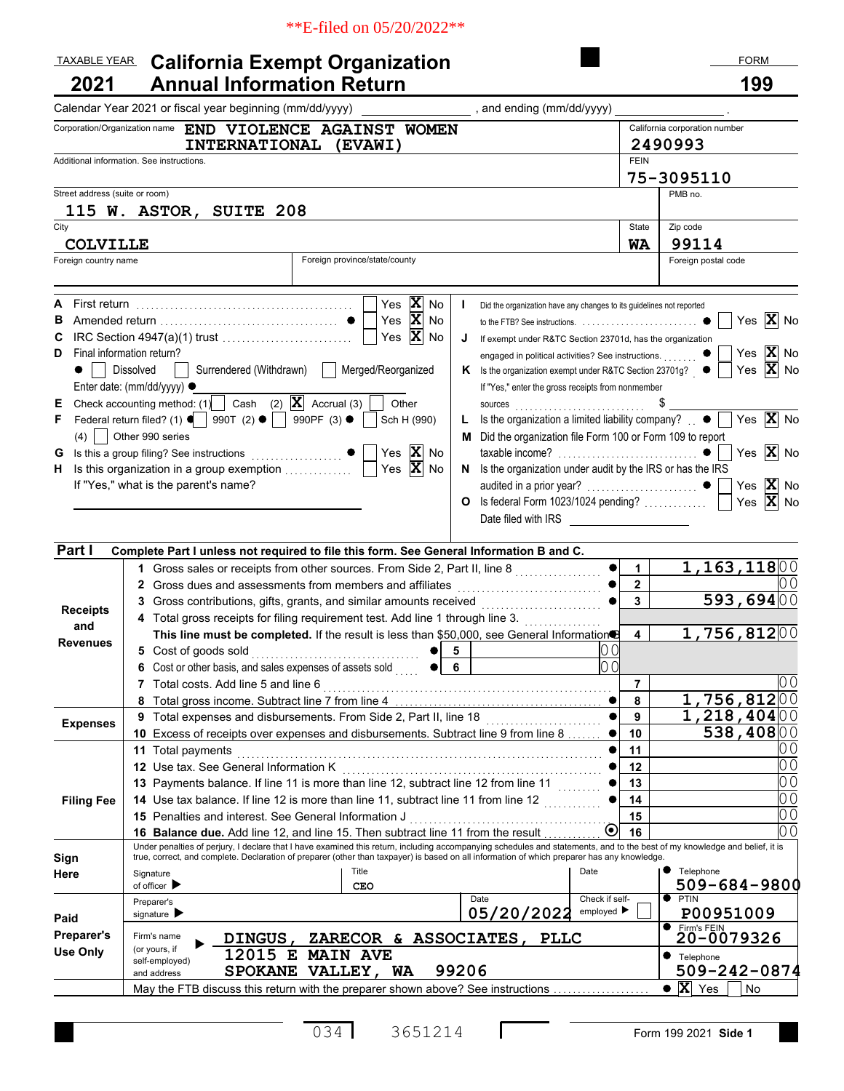#### \*\*E-filed on 05/20/2022\*\*

#### **California Exempt Organization 2021 • Annual Information Return 1999** TAXABLE YEAR California Exempt Organization TAXABLE YEAR CALIfornia Exempt Organization

|                                                             | Calendar Year 2021 or fiscal year beginning (mm/dd/yyyy)<br>and ending (mm/dd/yyyy)                                                                                                                                                                                                                                                                                                                                                                                                                                                                                                                                                                                                                                                                                                                                                                                                                                                                                                                                                                                                                                                                                  |                  |                                                                                                                                                                                                 |  |
|-------------------------------------------------------------|----------------------------------------------------------------------------------------------------------------------------------------------------------------------------------------------------------------------------------------------------------------------------------------------------------------------------------------------------------------------------------------------------------------------------------------------------------------------------------------------------------------------------------------------------------------------------------------------------------------------------------------------------------------------------------------------------------------------------------------------------------------------------------------------------------------------------------------------------------------------------------------------------------------------------------------------------------------------------------------------------------------------------------------------------------------------------------------------------------------------------------------------------------------------|------------------|-------------------------------------------------------------------------------------------------------------------------------------------------------------------------------------------------|--|
|                                                             | Corporation/Organization name END VIOLENCE AGAINST WOMEN                                                                                                                                                                                                                                                                                                                                                                                                                                                                                                                                                                                                                                                                                                                                                                                                                                                                                                                                                                                                                                                                                                             |                  | California corporation number                                                                                                                                                                   |  |
|                                                             | <b>INTERNATIONAL</b><br>(EVAWI)                                                                                                                                                                                                                                                                                                                                                                                                                                                                                                                                                                                                                                                                                                                                                                                                                                                                                                                                                                                                                                                                                                                                      |                  | 2490993                                                                                                                                                                                         |  |
| Additional information. See instructions.                   | <b>FEIN</b>                                                                                                                                                                                                                                                                                                                                                                                                                                                                                                                                                                                                                                                                                                                                                                                                                                                                                                                                                                                                                                                                                                                                                          |                  |                                                                                                                                                                                                 |  |
|                                                             |                                                                                                                                                                                                                                                                                                                                                                                                                                                                                                                                                                                                                                                                                                                                                                                                                                                                                                                                                                                                                                                                                                                                                                      |                  | 75-3095110                                                                                                                                                                                      |  |
| Street address (suite or room)                              |                                                                                                                                                                                                                                                                                                                                                                                                                                                                                                                                                                                                                                                                                                                                                                                                                                                                                                                                                                                                                                                                                                                                                                      |                  | PMB no.                                                                                                                                                                                         |  |
|                                                             | 115 W. ASTOR, SUITE 208                                                                                                                                                                                                                                                                                                                                                                                                                                                                                                                                                                                                                                                                                                                                                                                                                                                                                                                                                                                                                                                                                                                                              | State            | Zip code                                                                                                                                                                                        |  |
| City                                                        |                                                                                                                                                                                                                                                                                                                                                                                                                                                                                                                                                                                                                                                                                                                                                                                                                                                                                                                                                                                                                                                                                                                                                                      | <b>WA</b>        | 99114                                                                                                                                                                                           |  |
| <b>COLVILLE</b><br>Foreign country name                     | Foreign province/state/county                                                                                                                                                                                                                                                                                                                                                                                                                                                                                                                                                                                                                                                                                                                                                                                                                                                                                                                                                                                                                                                                                                                                        |                  | Foreign postal code                                                                                                                                                                             |  |
|                                                             |                                                                                                                                                                                                                                                                                                                                                                                                                                                                                                                                                                                                                                                                                                                                                                                                                                                                                                                                                                                                                                                                                                                                                                      |                  |                                                                                                                                                                                                 |  |
| First return<br>А<br>в<br>С<br>D<br>Е<br>F<br>(4)<br>G<br>н | $\mathbf{X}$ No<br>Yes<br>Did the organization have any changes to its guidelines not reported<br>Yes $X$ No<br>Yes $X$ No<br>If exempt under R&TC Section 23701d, has the organization<br>J<br>Final information return?<br>engaged in political activities? See instructions.<br>Surrendered (Withdrawn)<br>Merged/Reorganized<br><b>Dissolved</b><br>K Is the organization exempt under R&TC Section 23701g? ●<br>Enter date: (mm/dd/yyyy) ·<br>If "Yes," enter the gross receipts from nonmember<br>Cash (2) $\overline{\mathbf{X}}$ Accrual (3)<br>Check accounting method: (1)<br>Other<br>sources<br>990T (2) $\bullet$   990PF (3) $\bullet$<br>Is the organization a limited liability company? $\Box$ $\bullet$  <br>Federal return filed? (1) $\blacksquare$<br>Sch H (990)<br>L<br>Other 990 series<br>M Did the organization file Form 100 or Form 109 to report<br>Yes $\overline{\mathbf{X}}$ No<br>Yes $\overline{\mathbf{X}}$ No<br>Is this organization in a group exemption<br>N Is the organization under audit by the IRS or has the IRS<br>If "Yes," what is the parent's name?<br>O Is federal Form 1023/1024 pending?<br>Date filed with IRS |                  | $ {\bf X} $<br>Yes<br>No<br>Yes $ \mathbf{X} $<br>No<br>Yes $ \mathbf{X} $ No<br>Yes $ \mathbf{\overline{X}} $ No<br>Yes $ \mathbf{X} $ No<br>Yes $ \mathbf{X} $<br>No<br>Yes $ \mathbf{X} $ No |  |
| Part I                                                      | Complete Part I unless not required to file this form. See General Information B and C.                                                                                                                                                                                                                                                                                                                                                                                                                                                                                                                                                                                                                                                                                                                                                                                                                                                                                                                                                                                                                                                                              |                  |                                                                                                                                                                                                 |  |
|                                                             | 1 Gross sales or receipts from other sources. From Side 2, Part II, line 8<br>2 Gross dues and assessments from members and affiliates                                                                                                                                                                                                                                                                                                                                                                                                                                                                                                                                                                                                                                                                                                                                                                                                                                                                                                                                                                                                                               | 1<br>$\mathbf 2$ | 1,163,11800                                                                                                                                                                                     |  |
|                                                             | 3 Gross contributions, gifts, grants, and similar amounts received                                                                                                                                                                                                                                                                                                                                                                                                                                                                                                                                                                                                                                                                                                                                                                                                                                                                                                                                                                                                                                                                                                   | 3                | 593,69400                                                                                                                                                                                       |  |
| <b>Receipts</b>                                             | 4 Total gross receipts for filing requirement test. Add line 1 through line 3.                                                                                                                                                                                                                                                                                                                                                                                                                                                                                                                                                                                                                                                                                                                                                                                                                                                                                                                                                                                                                                                                                       |                  |                                                                                                                                                                                                 |  |
| and                                                         | This line must be completed. If the result is less than \$50,000, see General Information                                                                                                                                                                                                                                                                                                                                                                                                                                                                                                                                                                                                                                                                                                                                                                                                                                                                                                                                                                                                                                                                            | 4                | 1,756,81200                                                                                                                                                                                     |  |
| <b>Revenues</b>                                             | 00<br>5 Cost of goods sold<br>5                                                                                                                                                                                                                                                                                                                                                                                                                                                                                                                                                                                                                                                                                                                                                                                                                                                                                                                                                                                                                                                                                                                                      |                  |                                                                                                                                                                                                 |  |
|                                                             | 0 <sub>0</sub><br>Cost or other basis, and sales expenses of assets sold<br>6<br>6                                                                                                                                                                                                                                                                                                                                                                                                                                                                                                                                                                                                                                                                                                                                                                                                                                                                                                                                                                                                                                                                                   |                  |                                                                                                                                                                                                 |  |
|                                                             | Total costs. Add line 5 and line 6                                                                                                                                                                                                                                                                                                                                                                                                                                                                                                                                                                                                                                                                                                                                                                                                                                                                                                                                                                                                                                                                                                                                   | 7                |                                                                                                                                                                                                 |  |
|                                                             | 8 Total gross income. Subtract line 7 from line 4                                                                                                                                                                                                                                                                                                                                                                                                                                                                                                                                                                                                                                                                                                                                                                                                                                                                                                                                                                                                                                                                                                                    | 8                | 1,756,812]00                                                                                                                                                                                    |  |
| <b>Expenses</b>                                             | 9 Total expenses and disbursements. From Side 2, Part II, line 18                                                                                                                                                                                                                                                                                                                                                                                                                                                                                                                                                                                                                                                                                                                                                                                                                                                                                                                                                                                                                                                                                                    | 9                | 1,218,40400                                                                                                                                                                                     |  |
|                                                             | 10 Excess of receipts over expenses and disbursements. Subtract line 9 from line 8                                                                                                                                                                                                                                                                                                                                                                                                                                                                                                                                                                                                                                                                                                                                                                                                                                                                                                                                                                                                                                                                                   | 10               | 538,40800                                                                                                                                                                                       |  |
|                                                             | <b>11</b> Total payments                                                                                                                                                                                                                                                                                                                                                                                                                                                                                                                                                                                                                                                                                                                                                                                                                                                                                                                                                                                                                                                                                                                                             | 11               | U U                                                                                                                                                                                             |  |
|                                                             | 12 Use tax. See General Information K                                                                                                                                                                                                                                                                                                                                                                                                                                                                                                                                                                                                                                                                                                                                                                                                                                                                                                                                                                                                                                                                                                                                | 12               | 00                                                                                                                                                                                              |  |
|                                                             | 13 Payments balance. If line 11 is more than line 12, subtract line 12 from line 11                                                                                                                                                                                                                                                                                                                                                                                                                                                                                                                                                                                                                                                                                                                                                                                                                                                                                                                                                                                                                                                                                  | 13               | 00                                                                                                                                                                                              |  |
| <b>Filing Fee</b>                                           | 14 Use tax balance. If line 12 is more than line 11, subtract line 11 from line 12                                                                                                                                                                                                                                                                                                                                                                                                                                                                                                                                                                                                                                                                                                                                                                                                                                                                                                                                                                                                                                                                                   | 14               | 0 <sub>0</sub>                                                                                                                                                                                  |  |
|                                                             | 15 Penalties and interest. See General Information J                                                                                                                                                                                                                                                                                                                                                                                                                                                                                                                                                                                                                                                                                                                                                                                                                                                                                                                                                                                                                                                                                                                 | 15               | 0 <sub>0</sub>                                                                                                                                                                                  |  |
|                                                             | $\boldsymbol{\odot}$<br>16 Balance due. Add line 12, and line 15. Then subtract line 11 from the result<br>Under penalties of perjury, I declare that I have examined this return, including accompanying schedules and statements, and to the best of my knowledge and belief, it is                                                                                                                                                                                                                                                                                                                                                                                                                                                                                                                                                                                                                                                                                                                                                                                                                                                                                | 16               | 00                                                                                                                                                                                              |  |
| Sign                                                        | true, correct, and complete. Declaration of preparer (other than taxpayer) is based on all information of which preparer has any knowledge.                                                                                                                                                                                                                                                                                                                                                                                                                                                                                                                                                                                                                                                                                                                                                                                                                                                                                                                                                                                                                          |                  |                                                                                                                                                                                                 |  |
| Here                                                        | Title<br>Date<br>Signature<br>of officer $\blacktriangleright$<br><b>CEO</b>                                                                                                                                                                                                                                                                                                                                                                                                                                                                                                                                                                                                                                                                                                                                                                                                                                                                                                                                                                                                                                                                                         |                  | • Telephone<br>509-684-9800                                                                                                                                                                     |  |
|                                                             | Check if self-<br>Date<br>Preparer's<br>employed $\blacktriangleright$<br>05/20/2022<br>signature $\blacktriangleright$                                                                                                                                                                                                                                                                                                                                                                                                                                                                                                                                                                                                                                                                                                                                                                                                                                                                                                                                                                                                                                              |                  | $\bullet$ PTIN<br>P00951009                                                                                                                                                                     |  |
| Paid                                                        |                                                                                                                                                                                                                                                                                                                                                                                                                                                                                                                                                                                                                                                                                                                                                                                                                                                                                                                                                                                                                                                                                                                                                                      |                  | <b>T</b> Firm's FEIN                                                                                                                                                                            |  |
| <b>Preparer's</b><br><b>Use Only</b>                        | Firm's name<br>ZARECOR & ASSOCIATES,<br><b>DINGUS</b><br><b>PLLC</b><br>(or yours, if<br>12015 E<br><b>MAIN AVE</b>                                                                                                                                                                                                                                                                                                                                                                                                                                                                                                                                                                                                                                                                                                                                                                                                                                                                                                                                                                                                                                                  |                  | 20-0079326<br>● Telephone                                                                                                                                                                       |  |
|                                                             | self-employed)<br>99206<br>SPOKANE VALLEY,<br>WA<br>and address                                                                                                                                                                                                                                                                                                                                                                                                                                                                                                                                                                                                                                                                                                                                                                                                                                                                                                                                                                                                                                                                                                      |                  | 509-242-0874                                                                                                                                                                                    |  |
|                                                             | May the FTB discuss this return with the preparer shown above? See instructions                                                                                                                                                                                                                                                                                                                                                                                                                                                                                                                                                                                                                                                                                                                                                                                                                                                                                                                                                                                                                                                                                      |                  | $\bullet$ <b>X</b> Yes<br>No                                                                                                                                                                    |  |
|                                                             |                                                                                                                                                                                                                                                                                                                                                                                                                                                                                                                                                                                                                                                                                                                                                                                                                                                                                                                                                                                                                                                                                                                                                                      |                  |                                                                                                                                                                                                 |  |

 $\Gamma$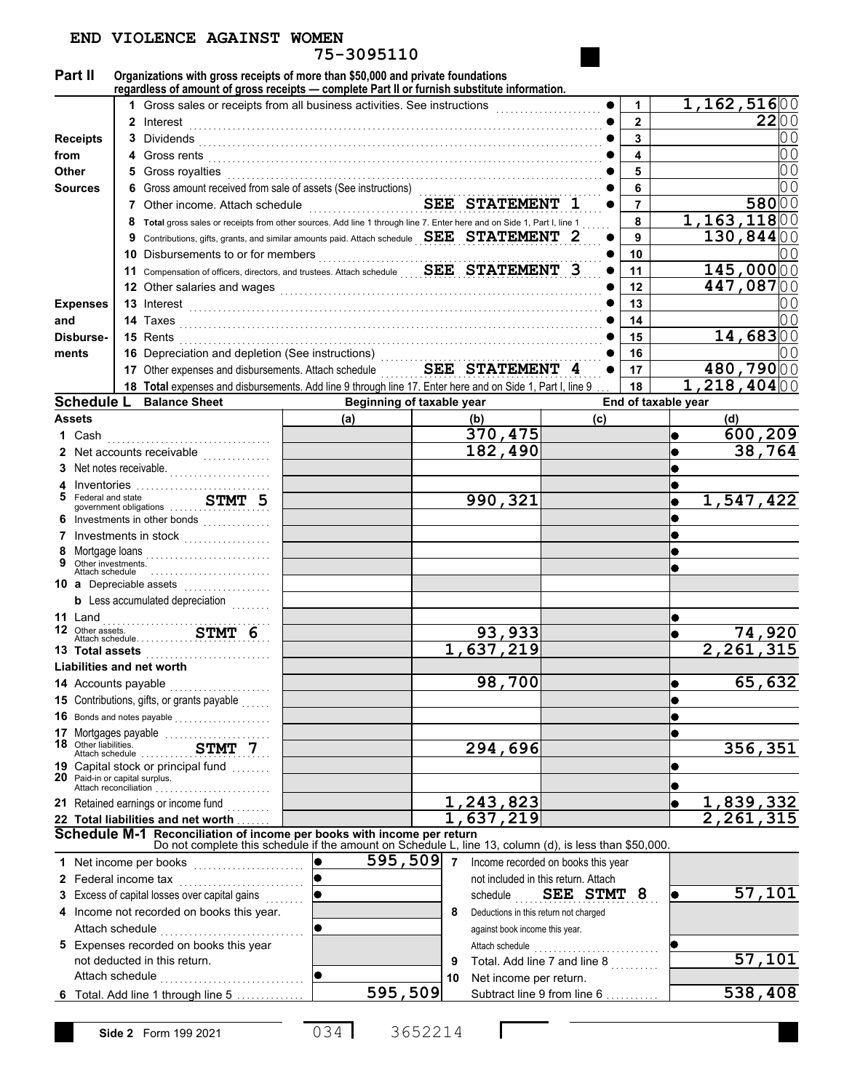| 75-3095110                         |                                               |              |                                                                                                                                                                                 |                |                                                   |             |                     |  |                        |  |
|------------------------------------|-----------------------------------------------|--------------|---------------------------------------------------------------------------------------------------------------------------------------------------------------------------------|----------------|---------------------------------------------------|-------------|---------------------|--|------------------------|--|
| Part II                            |                                               |              | Organizations with gross receipts of more than \$50,000 and private foundations<br>regardless of amount of gross receipts - complete Part II or furnish substitute information. |                |                                                   |             |                     |  |                        |  |
|                                    |                                               |              | Gross sales or receipts from all business activities. See instructions                                                                                                          |                |                                                   |             | 1                   |  | 1,162,51600            |  |
|                                    |                                               | $\mathbf{2}$ | Interest                                                                                                                                                                        |                |                                                   |             | $\mathbf{2}$        |  | 2200                   |  |
| <b>Receipts</b>                    |                                               | 3            | Dividends                                                                                                                                                                       |                |                                                   |             | 3                   |  |                        |  |
| from                               |                                               |              | Gross rents                                                                                                                                                                     |                |                                                   |             | 4                   |  | 0 <sub>0</sub>         |  |
| <b>Other</b>                       |                                               |              | Gross royalties                                                                                                                                                                 |                |                                                   |             | 5                   |  | 0 <sub>0</sub>         |  |
|                                    |                                               |              | Gross amount received from sale of assets (See instructions)                                                                                                                    |                |                                                   |             | 6                   |  |                        |  |
| <b>Sources</b>                     |                                               |              |                                                                                                                                                                                 | $\overline{7}$ |                                                   | 58000       |                     |  |                        |  |
|                                    |                                               |              | Other income. Attach schedule                                                                                                                                                   |                |                                                   | 1,163,11800 |                     |  |                        |  |
|                                    |                                               | 8            | Total gross sales or receipts from other sources. Add line 1 through line 7. Enter here and on Side 1, Part I, line 1                                                           |                |                                                   |             | 8                   |  |                        |  |
|                                    |                                               | 9            | Contributions, gifts, grants, and similar amounts paid. Attach schedule SEE STATEMENT 2                                                                                         |                |                                                   |             | 9                   |  | 130,84400              |  |
|                                    |                                               | 10           | Disbursements to or for members                                                                                                                                                 |                |                                                   |             | 10                  |  |                        |  |
|                                    |                                               | 11           | Compensation of officers, directors, and trustees. Attach schedule $\begin{array}{cc} \textbf{SEE} & \textbf{STARTEMENT} & 3 \end{array}$                                       |                |                                                   |             | 11                  |  | $145,000$ 00           |  |
|                                    |                                               | 12           | Other salaries and wages                                                                                                                                                        |                |                                                   |             | 12                  |  | 447,08700              |  |
| <b>Expenses</b>                    |                                               |              | 13 Interest                                                                                                                                                                     |                |                                                   |             | 13                  |  |                        |  |
| and                                |                                               |              | 14 Taxes                                                                                                                                                                        |                |                                                   |             | 14                  |  |                        |  |
| Disburse-                          |                                               |              | 15 Rents                                                                                                                                                                        |                |                                                   |             | 15                  |  | 14,68300               |  |
| ments                              |                                               |              | 16 Depreciation and depletion (See instructions)                                                                                                                                |                |                                                   |             | 16                  |  |                        |  |
|                                    |                                               |              | 17 Other expenses and disbursements. Attach schedule                                                                                                                            |                | SEE STATEMENT 4                                   |             | 17                  |  | 480,79000              |  |
|                                    |                                               |              | 18 Total expenses and disbursements. Add line 9 through line 17. Enter here and on Side 1, Part I, line 9                                                                       |                |                                                   |             | 18                  |  | 1,218,40400            |  |
| <b>Schedule L</b>                  |                                               |              | <b>Balance Sheet</b>                                                                                                                                                            |                | Beginning of taxable year                         |             | End of taxable year |  |                        |  |
| <b>Assets</b>                      |                                               |              |                                                                                                                                                                                 | (a)            | (b)                                               | (c)         |                     |  | (d)                    |  |
| 1 Cash                             |                                               |              |                                                                                                                                                                                 |                | 370,475                                           |             |                     |  | 600,209                |  |
|                                    |                                               |              | 2 Net accounts receivable<br>.                                                                                                                                                  |                | 182,490                                           |             |                     |  | 38,764                 |  |
|                                    |                                               |              | 3 Net notes receivable.                                                                                                                                                         |                |                                                   |             |                     |  |                        |  |
| 4                                  |                                               |              | Inventories                                                                                                                                                                     |                |                                                   |             |                     |  |                        |  |
| 5                                  | Federal and state                             |              |                                                                                                                                                                                 |                | 990,321                                           |             |                     |  | 1,547,422              |  |
|                                    |                                               |              | Investments in other bonds<br>                                                                                                                                                  |                |                                                   |             |                     |  |                        |  |
|                                    |                                               |              |                                                                                                                                                                                 |                |                                                   |             |                     |  |                        |  |
| 8                                  | Mortgage loans                                |              |                                                                                                                                                                                 |                |                                                   |             |                     |  |                        |  |
| 9                                  | Other investments.<br>Attach schedule         |              |                                                                                                                                                                                 |                |                                                   |             |                     |  |                        |  |
|                                    |                                               |              | 10 a Depreciable assets                                                                                                                                                         |                |                                                   |             |                     |  |                        |  |
|                                    |                                               |              | <b>b</b> Less accumulated depreciation <i>minimal</i>                                                                                                                           |                |                                                   |             |                     |  |                        |  |
| 11 Land                            |                                               |              |                                                                                                                                                                                 |                |                                                   |             |                     |  |                        |  |
| 12 Other assets.                   |                                               |              |                                                                                                                                                                                 |                | 93,933                                            |             |                     |  |                        |  |
| 13 Total assets                    |                                               |              |                                                                                                                                                                                 |                | 1,637,219                                         |             |                     |  | 2,261                  |  |
|                                    |                                               |              | Liabilities and net worth                                                                                                                                                       |                |                                                   |             |                     |  |                        |  |
| 14 Accounts payable                |                                               |              |                                                                                                                                                                                 |                | 98,700                                            |             |                     |  | 65,632                 |  |
|                                    |                                               |              | 15 Contributions, gifts, or grants payable                                                                                                                                      |                |                                                   |             |                     |  |                        |  |
|                                    |                                               |              | 16 Bonds and notes payable                                                                                                                                                      |                |                                                   |             |                     |  |                        |  |
|                                    |                                               |              | 17 Mortgages payable                                                                                                                                                            |                |                                                   |             |                     |  |                        |  |
| 18 Other liabilities.              |                                               |              | Ourer maplitudes.<br>Attach schedule<br>Contract the contract of the STMT 7                                                                                                     |                | $\overline{294,696}$                              |             |                     |  | 356, 351               |  |
|                                    |                                               |              | <b>19</b> Capital stock or principal fund                                                                                                                                       |                |                                                   |             |                     |  |                        |  |
|                                    |                                               |              | 20 Paid-in or capital surplus.                                                                                                                                                  |                |                                                   |             |                     |  |                        |  |
|                                    |                                               |              | 21 Retained earnings or income fund<br>                                                                                                                                         |                | , 243, 823                                        |             |                     |  | 1,839,332              |  |
|                                    | 637,219<br>22 Total liabilities and net worth |              |                                                                                                                                                                                 |                |                                                   |             |                     |  | $\overline{2}$<br>,261 |  |
|                                    |                                               |              | Schedule M-1 Reconciliation of income per books with income per return                                                                                                          |                |                                                   |             |                     |  |                        |  |
|                                    |                                               |              | Do not complete this schedule if the amount on Schedule L, line 13, column (d), is less than \$50,000.                                                                          |                |                                                   |             |                     |  |                        |  |
|                                    |                                               |              | 1 Net income per books                                                                                                                                                          | lo.            | $595,509$ 7<br>Income recorded on books this year |             |                     |  |                        |  |
|                                    |                                               |              | 2 Federal income tax                                                                                                                                                            |                | not included in this return. Attach               |             |                     |  |                        |  |
|                                    |                                               |              | 3 Excess of capital losses over capital gains                                                                                                                                   |                | schedule SEE STMT 8                               |             |                     |  | 57,101                 |  |
|                                    |                                               |              | 4 Income not recorded on books this year.                                                                                                                                       |                | 8<br>Deductions in this return not charged        |             |                     |  |                        |  |
|                                    |                                               |              |                                                                                                                                                                                 | $\bullet$      | against book income this year.                    |             |                     |  |                        |  |
|                                    |                                               |              | 5 Expenses recorded on books this year                                                                                                                                          |                |                                                   |             |                     |  |                        |  |
|                                    |                                               |              | not deducted in this return.                                                                                                                                                    |                | Total. Add line 7 and line 8<br>9                 |             |                     |  | 57,101                 |  |
|                                    |                                               |              | Attach schedule                                                                                                                                                                 | <b>IO</b>      | Net income per return.<br>10                      |             |                     |  |                        |  |
| 6 Total. Add line 1 through line 5 |                                               |              |                                                                                                                                                                                 |                | 595,509<br>Subtract line 9 from line 6            |             |                     |  |                        |  |

**END VIOLENCE AGAINST WOMEN**

034 3652214

 $\Gamma$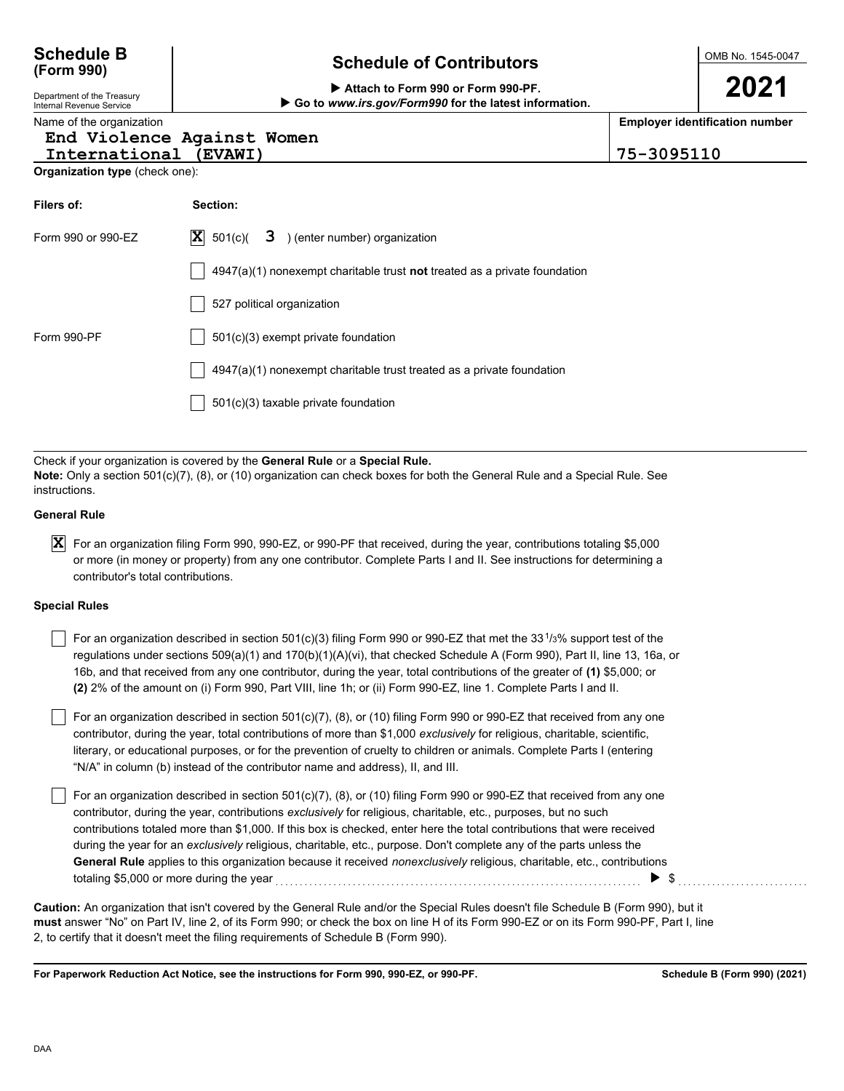## **Schedule of Contributors Schedule B**

 **Attach to Form 990 or Form 990-PF. Go to** *www.irs.gov/Form990* **for the latest information.** OMB No. 1545-0047

# **Employer identification number**

Nam

### **End Violence Against Women**

**International (EVAWI) 75-3095110**

**Organization type** (check one):

| Filers of:         | Section:                                                                           |
|--------------------|------------------------------------------------------------------------------------|
| Form 990 or 990-EZ | $ \mathbf{X} $ 501(c)( <b>3</b> ) (enter number) organization                      |
|                    | $4947(a)(1)$ nonexempt charitable trust <b>not</b> treated as a private foundation |
|                    | 527 political organization                                                         |
| Form 990-PF        | $501(c)(3)$ exempt private foundation                                              |
|                    | 4947(a)(1) nonexempt charitable trust treated as a private foundation              |
|                    | 501(c)(3) taxable private foundation                                               |
|                    |                                                                                    |

Check if your organization is covered by the **General Rule** or a **Special Rule. Note:** Only a section 501(c)(7), (8), or (10) organization can check boxes for both the General Rule and a Special Rule. See instructions.

#### **General Rule**

 $\bm{X}$  For an organization filing Form 990, 990-EZ, or 990-PF that received, during the year, contributions totaling \$5,000 or more (in money or property) from any one contributor. Complete Parts I and II. See instructions for determining a contributor's total contributions.

#### **Special Rules**

For an organization described in section 501(c)(3) filing Form 990 or 990-EZ that met the 33<sup>1</sup>/3% support test of the regulations under sections 509(a)(1) and 170(b)(1)(A)(vi), that checked Schedule A (Form 990), Part II, line 13, 16a, or 16b, and that received from any one contributor, during the year, total contributions of the greater of **(1)** \$5,000; or **(2)** 2% of the amount on (i) Form 990, Part VIII, line 1h; or (ii) Form 990-EZ, line 1. Complete Parts I and II.

literary, or educational purposes, or for the prevention of cruelty to children or animals. Complete Parts I (entering For an organization described in section 501(c)(7), (8), or (10) filing Form 990 or 990-EZ that received from any one contributor, during the year, total contributions of more than \$1,000 *exclusively* for religious, charitable, scientific, "N/A" in column (b) instead of the contributor name and address), II, and III.

For an organization described in section 501(c)(7), (8), or (10) filing Form 990 or 990-EZ that received from any one contributor, during the year, contributions *exclusively* for religious, charitable, etc., purposes, but no such contributions totaled more than \$1,000. If this box is checked, enter here the total contributions that were received during the year for an *exclusively* religious, charitable, etc., purpose. Don't complete any of the parts unless the **General Rule** applies to this organization because it received *nonexclusively* religious, charitable, etc., contributions totaling \$5,000 or more during the year  $\ldots$   $\ldots$   $\ldots$   $\ldots$   $\ldots$   $\ldots$   $\ldots$   $\ldots$   $\ldots$   $\ldots$   $\ldots$   $\ldots$   $\ldots$ 

**must** answer "No" on Part IV, line 2, of its Form 990; or check the box on line H of its Form 990-EZ or on its Form 990-PF, Part I, line 2, to certify that it doesn't meet the filing requirements of Schedule B (Form 990). **Caution:** An organization that isn't covered by the General Rule and/or the Special Rules doesn't file Schedule B (Form 990), but it

**For Paperwork Reduction Act Notice, see the instructions for Form 990, 990-EZ, or 990-PF.**



Department of the Treasury

**(Form 990)**

Internal Revenue Service

|  |  | e of the organization |  |
|--|--|-----------------------|--|
|  |  |                       |  |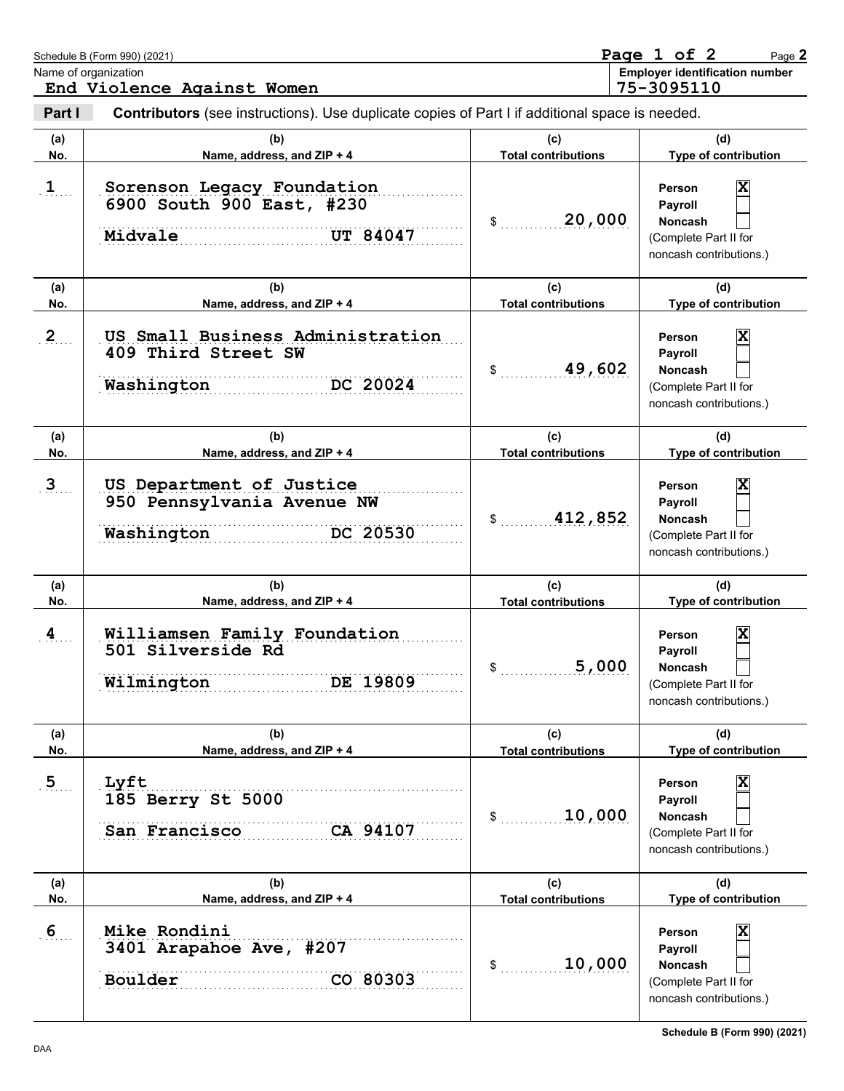|                | Schedule B (Form 990) (2021)<br>Name of organization<br>End Violence Against Women             |                                   | Page 1 of 2<br>Page 2<br><b>Employer identification number</b><br>75-3095110                 |
|----------------|------------------------------------------------------------------------------------------------|-----------------------------------|----------------------------------------------------------------------------------------------|
| Part I         | Contributors (see instructions). Use duplicate copies of Part I if additional space is needed. |                                   |                                                                                              |
| (a)<br>No.     | (b)<br>Name, address, and ZIP + 4                                                              | (c)<br><b>Total contributions</b> | (d)<br>Type of contribution                                                                  |
| $\mathbf{1}$   | Sorenson Legacy Foundation<br>6900 South 900 East, #230<br>Midvale<br><b>UT 84047</b>          | 20,000<br>\$                      | Χ<br>Person<br>Payroll<br>Noncash<br>(Complete Part II for<br>noncash contributions.)        |
| (a)            | (b)                                                                                            | (c)                               | (d)                                                                                          |
| No.            | Name, address, and ZIP + 4                                                                     | <b>Total contributions</b>        | Type of contribution                                                                         |
| $2_{}$         | US Small Business Administration<br>409 Third Street SW<br>DC 20024<br>Washington              | 49,602<br>\$                      | X<br>Person<br>Payroll<br>Noncash<br>(Complete Part II for<br>noncash contributions.)        |
| (a)<br>No.     | (b)<br>Name, address, and ZIP + 4                                                              | (c)<br><b>Total contributions</b> | (d)<br>Type of contribution                                                                  |
| 3 <sub>1</sub> | US Department of Justice<br>950 Pennsylvania Avenue NW<br>DC 20530<br>Washington               | 412,852<br>\$                     | Χ<br>Person<br>Payroll<br>Noncash<br>(Complete Part II for<br>noncash contributions.)        |
| (a)<br>No.     | (b)<br>Name, address, and ZIP + 4                                                              | (c)<br><b>Total contributions</b> | (d)<br>Type of contribution                                                                  |
| $\overline{4}$ | Williamsen Family Foundation<br>501 Silverside Rd<br>Wilmington<br>DE 19809                    | 5,000                             | X<br>Person<br>Payroll<br>Noncash<br>(Complete Part II for<br>noncash contributions.)        |
| (a)            | (b)                                                                                            | (c)                               | (d)                                                                                          |
| No.            | Name, address, and ZIP + 4                                                                     | <b>Total contributions</b>        | Type of contribution                                                                         |
| 5 <sub>1</sub> | Lyft<br>185 Berry St 5000<br>CA 94107<br>San Francisco                                         | 10,000<br>\$                      | X<br>Person<br>Payroll<br><b>Noncash</b><br>(Complete Part II for<br>noncash contributions.) |
| (a)<br>No.     | (b)<br>Name, address, and ZIP + 4                                                              | (c)<br><b>Total contributions</b> | (d)<br>Type of contribution                                                                  |
| 6 <sub>1</sub> | Mike Rondini<br>3401 Arapahoe Ave, #207<br>Boulder<br>CO 80303                                 | 10,000<br>\$                      | X<br>Person<br>Payroll<br>Noncash<br>(Complete Part II for<br>noncash contributions.)        |

**Schedule B (Form 990) (2021)**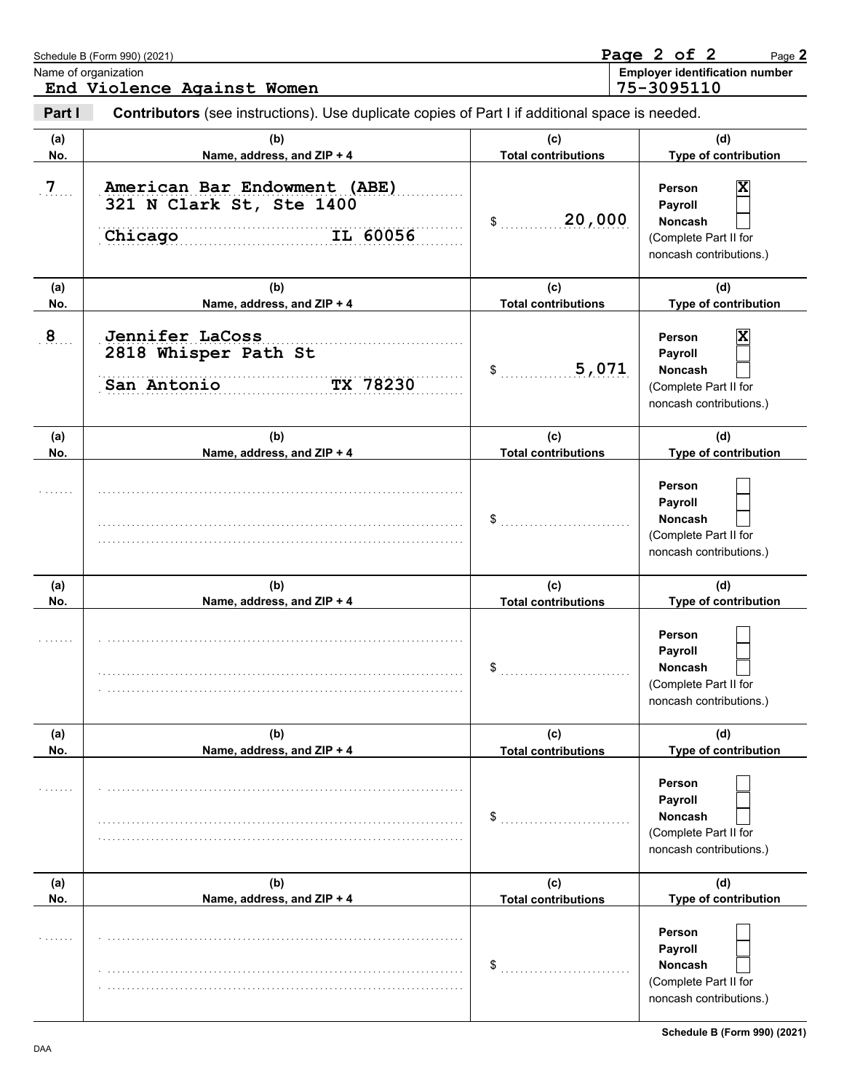|                | Schedule B (Form 990) (2021)<br>Name of organization<br>End Violence Against Women             |                                   | Page 2 of 2<br>Page 2<br><b>Employer identification number</b><br>75-3095110                 |
|----------------|------------------------------------------------------------------------------------------------|-----------------------------------|----------------------------------------------------------------------------------------------|
| Part I         | Contributors (see instructions). Use duplicate copies of Part I if additional space is needed. |                                   |                                                                                              |
| (a)<br>No.     | (b)<br>Name, address, and ZIP + 4                                                              | (C)<br><b>Total contributions</b> | (d)<br>Type of contribution                                                                  |
| 7 <sub>1</sub> | American Bar Endowment (ABE)<br>321 N Clark St, Ste 1400<br>IL 60056<br>Chicago                | 20,000<br>\$                      | X<br>Person<br>Payroll<br><b>Noncash</b><br>(Complete Part II for<br>noncash contributions.) |
| (a)<br>No.     | (b)<br>Name, address, and ZIP + 4                                                              | (c)<br><b>Total contributions</b> | (d)<br>Type of contribution                                                                  |
| $\mathbf{8}$   | Jennifer LaCoss<br>2818 Whisper Path St<br>TX 78230<br>San Antonio                             | 5,071<br>\$                       | X<br>Person<br>Payroll<br><b>Noncash</b><br>(Complete Part II for<br>noncash contributions.) |
| (a)<br>No.     | (b)<br>Name, address, and ZIP + 4                                                              | (c)<br><b>Total contributions</b> | (d)<br>Type of contribution                                                                  |
|                |                                                                                                | $\,$                              | Person<br>Payroll<br><b>Noncash</b><br>(Complete Part II for<br>noncash contributions.)      |
| (a)<br>No.     | (b)<br>Name, address, and ZIP + 4                                                              | (c)<br><b>Total contributions</b> | (d)<br>Type of contribution                                                                  |
|                |                                                                                                | D.                                | Person<br>Payroll<br><b>Noncash</b><br>(Complete Part II for<br>noncash contributions.)      |
| (a)<br>No.     | (b)<br>Name, address, and ZIP + 4                                                              | (c)<br><b>Total contributions</b> | (d)<br>Type of contribution                                                                  |
|                |                                                                                                | \$                                | Person<br>Payroll<br>Noncash<br>(Complete Part II for<br>noncash contributions.)             |
| (a)<br>No.     | (b)<br>Name, address, and ZIP + 4                                                              | (c)<br><b>Total contributions</b> | (d)<br>Type of contribution                                                                  |
|                |                                                                                                | \$                                | Person<br>Payroll<br>Noncash<br>(Complete Part II for<br>noncash contributions.)             |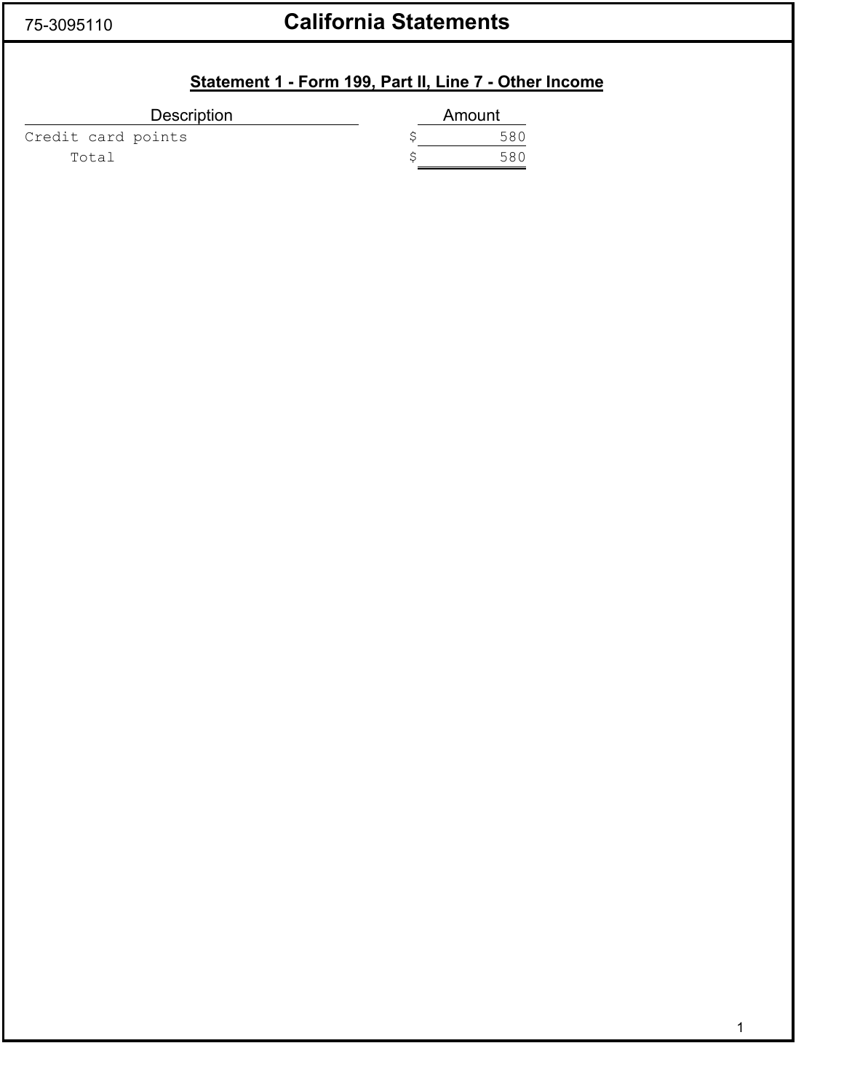## 75-3095110 **California Statements**

## **Statement 1 - Form 199, Part II, Line 7 - Other Income**

| <b>Description</b> | Amount |
|--------------------|--------|
| Credit card points | 580    |
| Total              | 586    |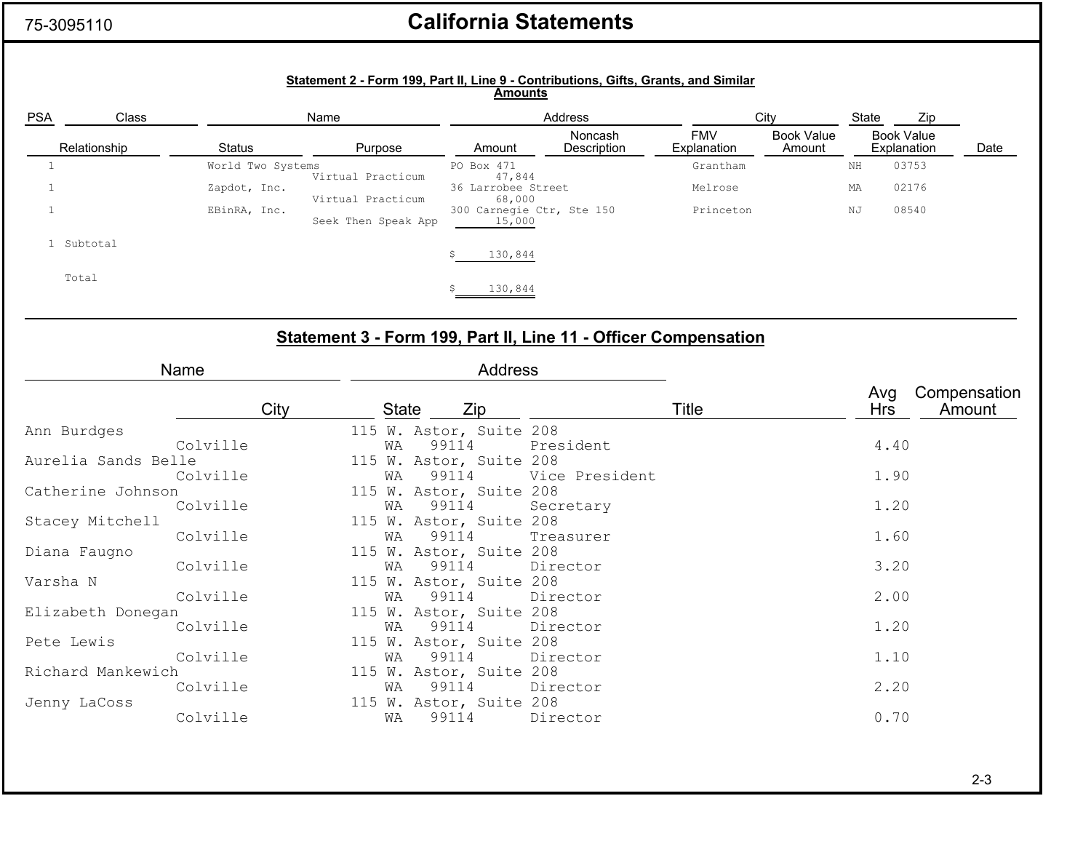### 75-3095110

## **California Statements**

|              |                     |                   | Statement 2 - Form 199, Part II, Line 9 - Contributions, Gifts, Grants, and Similar | <b>Amounts</b>               |                           |                           |                             |             |                                  |                        |
|--------------|---------------------|-------------------|-------------------------------------------------------------------------------------|------------------------------|---------------------------|---------------------------|-----------------------------|-------------|----------------------------------|------------------------|
| <b>PSA</b>   | Class               |                   | Name                                                                                |                              | Address                   |                           | City                        | State       | Zip                              |                        |
| Relationship |                     | <b>Status</b>     | Purpose                                                                             | Amount                       |                           | <b>FMV</b><br>Explanation | <b>Book Value</b><br>Amount |             | <b>Book Value</b><br>Explanation | Date                   |
| $\mathbf{1}$ |                     | World Two Systems |                                                                                     | PO Box 471                   |                           | Grantham                  |                             | $_{\rm NH}$ | 03753                            |                        |
| $\mathbf{1}$ |                     | Zapdot, Inc.      | Virtual Practicum                                                                   | 47,844<br>36 Larrobee Street |                           | Melrose                   |                             | МA          | 02176                            |                        |
| $1\,$        |                     | EBinRA, Inc.      | Virtual Practicum                                                                   | 68,000                       | 300 Carnegie Ctr, Ste 150 | Princeton                 |                             | ΝJ          | 08540                            |                        |
|              | 1 Subtotal          |                   | Seek Then Speak App                                                                 | 15,000                       |                           |                           |                             |             |                                  |                        |
|              |                     |                   |                                                                                     | 130,844<br>Ŝ                 |                           |                           |                             |             |                                  |                        |
|              | Total               |                   |                                                                                     | 130,844                      |                           |                           |                             |             |                                  |                        |
|              |                     |                   |                                                                                     |                              |                           |                           |                             |             |                                  |                        |
|              |                     |                   |                                                                                     |                              |                           |                           |                             |             |                                  |                        |
|              |                     |                   | Statement 3 - Form 199, Part II, Line 11 - Officer Compensation                     |                              |                           |                           |                             |             |                                  |                        |
|              |                     | Name              |                                                                                     | <b>Address</b>               |                           |                           |                             |             |                                  |                        |
|              |                     | City              | <b>State</b>                                                                        | Zip                          |                           | Title                     |                             | Avg<br>Hrs  |                                  | Compensation<br>Amount |
|              | Ann Burdges         |                   | 115 W. Astor, Suite 208                                                             |                              |                           |                           |                             |             |                                  |                        |
|              |                     | Colville          | WA                                                                                  | 99114                        | President                 |                           |                             |             | 4.40                             |                        |
|              | Aurelia Sands Belle |                   | 115 W. Astor, Suite 208                                                             |                              |                           |                           |                             |             |                                  |                        |
|              |                     | Colville          | WA                                                                                  | 99114                        | Vice President            |                           |                             |             | 1.90                             |                        |
|              | Catherine Johnson   | Colville          | 115 W. Astor, Suite 208                                                             | 99114                        |                           |                           |                             |             | 1.20                             |                        |
|              | Stacey Mitchell     |                   | WΑ<br>115 W. Astor, Suite 208                                                       |                              | Secretary                 |                           |                             |             |                                  |                        |
|              |                     | Colville          | WA                                                                                  | 99114                        | Treasurer                 |                           |                             |             | 1.60                             |                        |
|              | Diana Faugno        |                   | 115 W. Astor, Suite 208                                                             |                              |                           |                           |                             |             |                                  |                        |
|              |                     | Colville          | WA                                                                                  | 99114                        | Director                  |                           |                             |             | 3.20                             |                        |
| Varsha N     |                     |                   | 115 W. Astor, Suite 208                                                             |                              |                           |                           |                             |             |                                  |                        |
|              |                     | Colville          | WΑ                                                                                  | 99114                        | Director                  |                           |                             |             | 2.00                             |                        |
|              | Elizabeth Donegan   |                   | 115 W. Astor, Suite 208                                                             |                              |                           |                           |                             |             |                                  |                        |
|              |                     | Colville          | WA                                                                                  | 99114                        | Director                  |                           |                             |             | 1.20                             |                        |
|              | Pete Lewis          |                   | 115 W. Astor, Suite 208                                                             |                              |                           |                           |                             |             |                                  |                        |
|              |                     | Colville          | WΑ                                                                                  | 99114                        | Director                  |                           |                             |             | 1.10                             |                        |
|              | Richard Mankewich   |                   | 115 W. Astor, Suite 208                                                             |                              |                           |                           |                             |             |                                  |                        |
|              |                     | Colville          | WA                                                                                  | 99114                        | Director                  |                           |                             |             | 2.20                             |                        |
|              | Jenny LaCoss        |                   | 115 W. Astor, Suite 208                                                             |                              |                           |                           |                             |             |                                  |                        |
|              |                     | Colville          | WΑ                                                                                  | 99114                        | Director                  |                           |                             |             | 0.70                             |                        |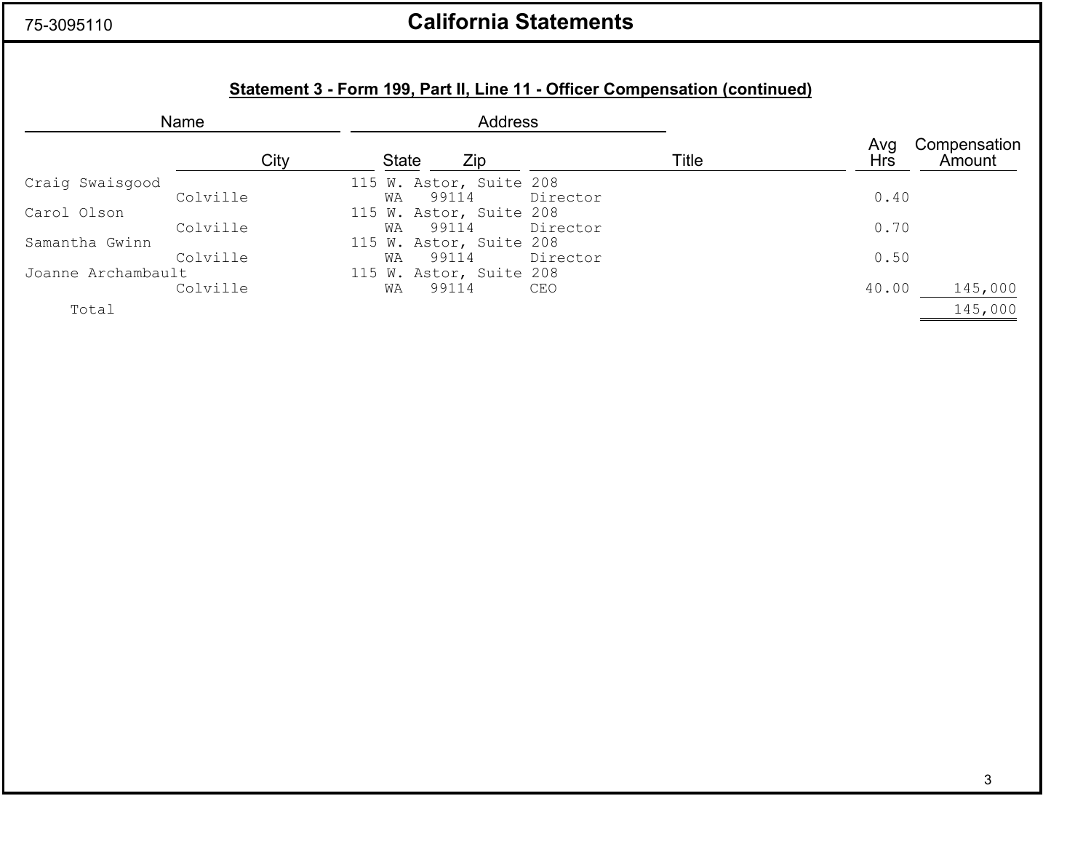### 75-3095110

## **California Statements**

## **Statement 3 - Form 199, Part II, Line 11 - Officer Compensation (continued)**

| Name               |          |              |                         | <b>Address</b> |          |       |            |                        |
|--------------------|----------|--------------|-------------------------|----------------|----------|-------|------------|------------------------|
|                    | City     | <b>State</b> | Zip                     |                |          | Title | Avg<br>Hrs | Compensation<br>Amount |
| Craig Swaisgood    |          |              | 115 W. Astor, Suite 208 |                |          |       |            |                        |
|                    | Colville | WA           | 99114                   |                | Director |       | 0.40       |                        |
| Carol Olson        |          |              | 115 W. Astor, Suite 208 |                |          |       |            |                        |
|                    | Colville | WA           | 99114                   |                | Director |       | 0.70       |                        |
| Samantha Gwinn     |          |              | 115 W. Astor, Suite 208 |                |          |       |            |                        |
|                    | Colville | WA           | 99114                   |                | Director |       | 0.50       |                        |
| Joanne Archambault |          |              | 115 W. Astor, Suite 208 |                |          |       |            |                        |
|                    | Colville | WΑ           | 99114                   |                | CEO      |       | 40.00      | 145,000                |
| Total              |          |              |                         |                |          |       |            | 145,000                |